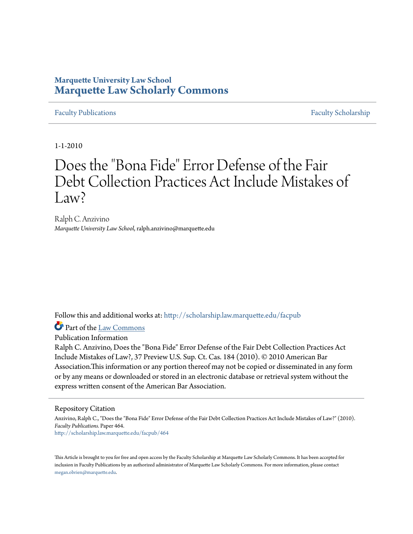## **Marquette University Law School [Marquette Law Scholarly Commons](http://scholarship.law.marquette.edu?utm_source=scholarship.law.marquette.edu%2Ffacpub%2F464&utm_medium=PDF&utm_campaign=PDFCoverPages)**

[Faculty Publications](http://scholarship.law.marquette.edu/facpub?utm_source=scholarship.law.marquette.edu%2Ffacpub%2F464&utm_medium=PDF&utm_campaign=PDFCoverPages) [Faculty Scholarship](http://scholarship.law.marquette.edu/faculty?utm_source=scholarship.law.marquette.edu%2Ffacpub%2F464&utm_medium=PDF&utm_campaign=PDFCoverPages)

1-1-2010

# Does the "Bona Fide" Error Defense of the Fair Debt Collection Practices Act Include Mistakes of  $\rm Law^2$

Ralph C. Anzivino *Marquette University Law School*, ralph.anzivino@marquette.edu

Follow this and additional works at: [http://scholarship.law.marquette.edu/facpub](http://scholarship.law.marquette.edu/facpub?utm_source=scholarship.law.marquette.edu%2Ffacpub%2F464&utm_medium=PDF&utm_campaign=PDFCoverPages)

Part of the [Law Commons](http://network.bepress.com/hgg/discipline/578?utm_source=scholarship.law.marquette.edu%2Ffacpub%2F464&utm_medium=PDF&utm_campaign=PDFCoverPages)

Publication Information

Ralph C. Anzivino, Does the "Bona Fide" Error Defense of the Fair Debt Collection Practices Act Include Mistakes of Law?, 37 Preview U.S. Sup. Ct. Cas. 184 (2010). © 2010 American Bar Association.This information or any portion thereof may not be copied or disseminated in any form or by any means or downloaded or stored in an electronic database or retrieval system without the express written consent of the American Bar Association.

#### Repository Citation

Anzivino, Ralph C., "Does the "Bona Fide" Error Defense of the Fair Debt Collection Practices Act Include Mistakes of Law?" (2010). *Faculty Publications.* Paper 464. [http://scholarship.law.marquette.edu/facpub/464](http://scholarship.law.marquette.edu/facpub/464?utm_source=scholarship.law.marquette.edu%2Ffacpub%2F464&utm_medium=PDF&utm_campaign=PDFCoverPages)

This Article is brought to you for free and open access by the Faculty Scholarship at Marquette Law Scholarly Commons. It has been accepted for inclusion in Faculty Publications by an authorized administrator of Marquette Law Scholarly Commons. For more information, please contact [megan.obrien@marquette.edu.](mailto:megan.obrien@marquette.edu)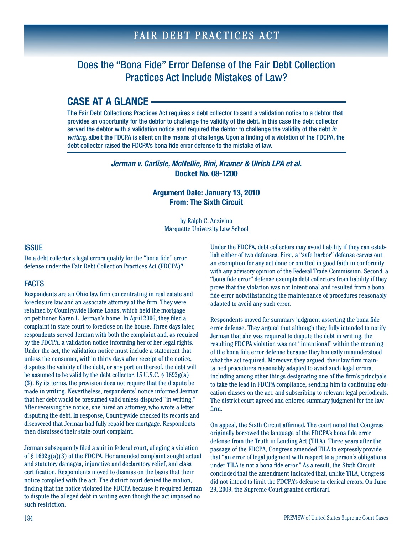# Does the "Bona Fide" Error Defense of the Fair Debt Collection Practices Act Include Mistakes of Law?

# **CASE AT A GLANCE**

The Fair Debt Collections Practices Act requires a debt collector to send a validation notice to a debtor that provides an opportunity for the debtor to challenge the validity of the debt. In this case the debt collector served the debtor with a validation notice and required the debtor to challenge the validity of the debt in writing, albeit the FDCPA is silent on the means of challenge. Upon a finding of a violation of the FDCPA, the debt collector raised the FDCPA's bona fide error defense to the mistake of law.

> *Jerman v. Carlisle, McNellie, Rini, Kramer & Ulrich LPA et al.* **Docket No. 08-1200**

#### **Argument Date: January 13, 2010 From: The Sixth Circuit**

by Ralph C. Anzivino Marquette University Law School

#### **ISSUE**

Do a debt collector's legal errors qualify for the "bona fide" error defense under the Fair Debt Collection Practices Act (FDCPA)?

### FACTS

Respondents are an Ohio law firm concentrating in real estate and foreclosure law and an associate attorney at the firm. They were retained by Countrywide Home Loans, which held the mortgage on petitioner Karen L. Jerman's home. In April 2006, they filed a complaint in state court to foreclose on the house. Three days later, respondents served Jerman with both the complaint and, as required by the FDCPA, a validation notice informing her of her legal rights. Under the act, the validation notice must include a statement that unless the consumer, within thirty days after receipt of the notice, disputes the validity of the debt, or any portion thereof, the debt will be assumed to be valid by the debt collector. 15 U.S.C. § 1692g(a) (3). By its terms, the provision does not require that the dispute be made in writing. Nevertheless, respondents' notice informed Jerman that her debt would be presumed valid unless disputed "in writing." After receiving the notice, she hired an attorney, who wrote a letter disputing the debt. In response, Countrywide checked its records and discovered that Jerman had fully repaid her mortgage. Respondents then dismissed their state-court complaint.

Jerman subsequently filed a suit in federal court, alleging a violation of § 1692g(a)(3) of the FDCPA. Her amended complaint sought actual and statutory damages, injunctive and declaratory relief, and class certification. Respondents moved to dismiss on the basis that their notice complied with the act. The district court denied the motion, finding that the notice violated the FDCPA because it required Jerman to dispute the alleged debt in writing even though the act imposed no such restriction.

Under the FDCPA, debt collectors may avoid liability if they can establish either of two defenses. First, a "safe harbor" defense carves out an exemption for any act done or omitted in good faith in conformity with any advisory opinion of the Federal Trade Commission. Second, a "bona fide error" defense exempts debt collectors from liability if they prove that the violation was not intentional and resulted from a bona fide error notwithstanding the maintenance of procedures reasonably adapted to avoid any such error.

Respondents moved for summary judgment asserting the bona fide error defense. They argued that although they fully intended to notify Jerman that she was required to dispute the debt in writing, the resulting FDCPA violation was not "intentional" within the meaning of the bona fide error defense because they honestly misunderstood what the act required. Moreover, they argued, their law firm maintained procedures reasonably adapted to avoid such legal errors, including among other things designating one of the firm's principals to take the lead in FDCPA compliance, sending him to continuing education classes on the act, and subscribing to relevant legal periodicals. The district court agreed and entered summary judgment for the law firm.

On appeal, the Sixth Circuit affirmed. The court noted that Congress originally borrowed the language of the FDCPA's bona fide error defense from the Truth in Lending Act (TILA). Three years after the passage of the FDCPA, Congress amended TILA to expressly provide that "an error of legal judgment with respect to a person's obligations under TILA is not a bona fide error." As a result, the Sixth Circuit concluded that the amendment indicated that, unlike TILA, Congress did not intend to limit the FDCPA's defense to clerical errors. On June 29, 2009, the Supreme Court granted certiorari.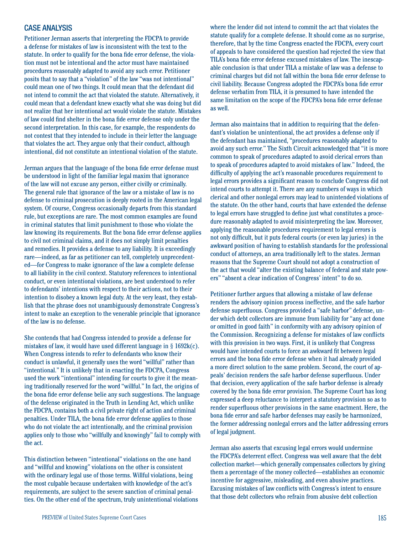#### CASE ANALYSIS

Petitioner Jerman asserts that interpreting the FDCPA to provide a defense for mistakes of law is inconsistent with the text to the statute. In order to qualify for the bona fide error defense, the violation must not be intentional and the actor must have maintained procedures reasonably adapted to avoid any such error. Petitioner posits that to say that a "violation" of the law "was not intentional" could mean one of two things. It could mean that the defendant did not intend to commit the act that violated the statute. Alternatively, it could mean that a defendant knew exactly what she was doing but did not realize that her intentional act would violate the statute. Mistakes of law could find shelter in the bona fide error defense only under the second interpretation. In this case, for example, the respondents do not contest that they intended to include in their letter the language that violates the act. They argue only that their conduct, although intentional, did not constitute an intentional violation of the statute.

Jerman argues that the language of the bona fide error defense must be understood in light of the familiar legal maxim that ignorance of the law will not excuse any person, either civilly or criminally. The general rule that ignorance of the law or a mistake of law is no defense to criminal prosecution is deeply rooted in the American legal system. Of course, Congress occasionally departs from this standard rule, but exceptions are rare. The most common examples are found in criminal statutes that limit punishment to those who violate the law knowing its requirements. But the bona fide error defense applies to civil not criminal claims, and it does not simply limit penalties and remedies. It provides a defense to any liability. It is exceedingly rare—indeed, as far as petitioner can tell, completely unprecedented—for Congress to make ignorance of the law a complete defense to all liability in the civil context. Statutory references to intentional conduct, or even intentional violations, are best understood to refer to defendants' intentions with respect to their actions, not to their intention to disobey a known legal duty. At the very least, they establish that the phrase does not unambiguously demonstrate Congress's intent to make an exception to the venerable principle that ignorance of the law is no defense.

She contends that had Congress intended to provide a defense for mistakes of law, it would have used different language in  $\S$  1692 $k(c)$ . When Congress intends to refer to defendants who know their conduct is unlawful, it generally uses the word "willful" rather than "intentional." It is unlikely that in enacting the FDCPA, Congress used the work "intentional" intending for courts to give it the meaning traditionally reserved for the word "willful." In fact, the origins of the bona fide error defense belie any such suggestions. The language of the defense originated in the Truth in Lending Act, which unlike the FDCPA, contains both a civil private right of action and criminal penalties. Under TILA, the bona fide error defense applies to those who do not violate the act intentionally, and the criminal provision applies only to those who "willfully and knowingly" fail to comply with the act.

This distinction between "intentional" violations on the one hand and "willful and knowing" violations on the other is consistent with the ordinary legal use of those terms. Willful violations, being the most culpable because undertaken with knowledge of the act's requirements, are subject to the severe sanction of criminal penalties. On the other end of the spectrum, truly unintentional violations

where the lender did not intend to commit the act that violates the statute qualify for a complete defense. It should come as no surprise, therefore, that by the time Congress enacted the FDCPA, every court of appeals to have considered the question had rejected the view that TILA's bona fide error defense excused mistakes of law. The inescapable conclusion is that under TILA a mistake of law was a defense to criminal charges but did not fall within the bona fide error defense to civil liability. Because Congress adopted the FDCPA's bona fide error defense verbatim from TILA, it is presumed to have intended the same limitation on the scope of the FDCPA's bona fide error defense as well.

Jerman also maintains that in addition to requiring that the defendant's violation be unintentional, the act provides a defense only if the defendant has maintained, "procedures reasonably adapted to avoid any such error." The Sixth Circuit acknowledged that "it is more common to speak of procedures adapted to avoid clerical errors than to speak of procedures adapted to avoid mistakes of law." Indeed, the difficulty of applying the act's reasonable procedures requirement to legal errors provides a significant reason to conclude Congress did not intend courts to attempt it. There are any numbers of ways in which clerical and other nonlegal errors may lead to unintended violations of the statute. On the other hand, courts that have extended the defense to legal errors have struggled to define just what constitutes a procedure reasonably adapted to avoid misinterpreting the law. Moreover, applying the reasonable procedures requirement to legal errors is not only difficult, but it puts federal courts (or even lay juries) in the awkward position of having to establish standards for the professional conduct of attorneys, an area traditionally left to the states. Jerman reasons that the Supreme Court should not adopt a construction of the act that would "alter the existing balance of federal and state powers" "absent a clear indication of Congress' intent" to do so.

Petitioner further argues that allowing a mistake of law defense renders the advisory opinion process ineffective, and the safe harbor defense superfluous. Congress provided a "safe harbor" defense, under which debt collectors are immune from liability for "any act done or omitted in good faith" in conformity with any advisory opinion of the Commission. Recognizing a defense for mistakes of law conflicts with this provision in two ways. First, it is unlikely that Congress would have intended courts to force an awkward fit between legal errors and the bona fide error defense when it had already provided a more direct solution to the same problem. Second, the court of appeals' decision renders the safe harbor defense superfluous. Under that decision, every application of the safe harbor defense is already covered by the bona fide error provision. The Supreme Court has long expressed a deep reluctance to interpret a statutory provision so as to render superfluous other provisions in the same enactment. Here, the bona fide error and safe harbor defenses may easily be harmonized, the former addressing nonlegal errors and the latter addressing errors of legal judgment.

Jerman also asserts that excusing legal errors would undermine the FDCPA's deterrent effect. Congress was well aware that the debt collection market—which generally compensates collectors by giving them a percentage of the money collected—establishes an economic incentive for aggressive, misleading, and even abusive practices. Excusing mistakes of law conflicts with Congress's intent to ensure that those debt collectors who refrain from abusive debt collection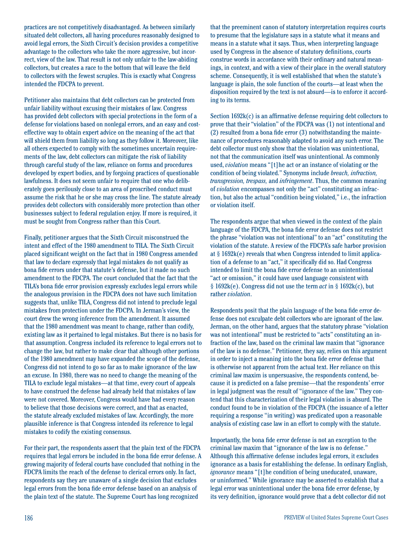practices are not competitively disadvantaged. As between similarly situated debt collectors, all having procedures reasonably designed to avoid legal errors, the Sixth Circuit's decision provides a competitive advantage to the collectors who take the more aggressive, but incorrect, view of the law. That result is not only unfair to the law-abiding collectors, but creates a race to the bottom that will leave the field to collectors with the fewest scruples. This is exactly what Congress intended the FDCPA to prevent.

Petitioner also maintains that debt collectors can be protected from unfair liability without excusing their mistakes of law. Congress has provided debt collectors with special protections in the form of a defense for violations based on nonlegal errors, and an easy and costeffective way to obtain expert advice on the meaning of the act that will shield them from liability so long as they follow it. Moreover, like all others expected to comply with the sometimes uncertain requirements of the law, debt collectors can mitigate the risk of liability through careful study of the law, reliance on forms and procedures developed by expert bodies, and by forgoing practices of questionable lawfulness. It does not seem unfair to require that one who deliberately goes perilously close to an area of proscribed conduct must assume the risk that he or she may cross the line. The statute already provides debt collectors with considerably more protection than other businesses subject to federal regulation enjoy. If more is required, it must be sought from Congress rather than this Court.

Finally, petitioner argues that the Sixth Circuit misconstrued the intent and effect of the 1980 amendment to TILA. The Sixth Circuit placed significant weight on the fact that in 1980 Congress amended that law to declare expressly that legal mistakes do not qualify as bona fide errors under that statute's defense, but it made no such amendment to the FDCPA. The court concluded that the fact that the TILA's bona fide error provision expressly excludes legal errors while the analogous provision in the FDCPA does not have such limitation suggests that, unlike TILA, Congress did not intend to preclude legal mistakes from protection under the FDCPA. In Jerman's view, the court drew the wrong inference from the amendment. It assumed that the 1980 amendment was meant to change, rather than codify, existing law as it pertained to legal mistakes. But there is no basis for that assumption. Congress included its reference to legal errors not to change the law, but rather to make clear that although other portions of the 1980 amendment may have expanded the scope of the defense, Congress did not intend to go so far as to make ignorance of the law an excuse. In 1980, there was no need to change the meaning of the TILA to exclude legal mistakes—at that time, every court of appeals to have construed the defense had already held that mistakes of law were not covered. Moreover, Congress would have had every reason to believe that those decisions were correct, and that as enacted, the statute already excluded mistakes of law. Accordingly, the more plausible inference is that Congress intended its reference to legal mistakes to codify the existing consensus.

For their part, the respondents assert that the plain text of the FDCPA requires that legal errors be included in the bona fide error defense. A growing majority of federal courts have concluded that nothing in the FDCPA limits the reach of the defense to clerical errors only. In fact, respondents say they are unaware of a single decision that excludes legal errors from the bona fide error defense based on an analysis of the plain text of the statute. The Supreme Court has long recognized

that the preeminent canon of statutory interpretation requires courts to presume that the legislature says in a statute what it means and means in a statute what it says. Thus, when interpreting language used by Congress in the absence of statutory definitions, courts construe words in accordance with their ordinary and natural meanings, in context, and with a view of their place in the overall statutory scheme. Consequently, it is well established that when the statute's language is plain, the sole function of the courts—at least when the disposition required by the text is not absurd—is to enforce it according to its terms.

Section 1692k(c) is an affirmative defense requiring debt collectors to prove that their "violation" of the FDCPA was (1) not intentional and (2) resulted from a bona fide error (3) notwithstanding the maintenance of procedures reasonably adapted to avoid any such error. The debt collector must only show that the violation was unintentional, not that the communication itself was unintentional. As commonly used, *violation* means "[t]he act or an instance of violating or the condition of being violated." Synonyms include *breach, infraction, transgression, trespass,* and *infringement*. Thus, the common meaning of *violation* encompasses not only the "act" constituting an infraction, but also the actual "condition being violated," i.e., the infraction or violation itself.

The respondents argue that when viewed in the context of the plain language of the FDCPA, the bona fide error defense does not restrict the phrase "violation was not intentional" to an "act" constituting the violation of the statute. A review of the FDCPA's safe harbor provision at § 1692k(e) reveals that when Congress intended to limit application of a defense to an "act," it specifically did so. Had Congress intended to limit the bona fide error defense to an unintentional "act or omission," it could have used language consistent with § 1692k(e). Congress did not use the term *act* in § 1692k(c), but rather *violation*.

Respondents posit that the plain language of the bona fide error defense does not exculpate debt collectors who are ignorant of the law. Jerman, on the other hand, argues that the statutory phrase "violation was not intentional" must be restricted to "acts" constituting an infraction of the law, based on the criminal law maxim that "ignorance of the law is no defense." Petitioner, they say, relies on this argument in order to inject a meaning into the bona fide error defense that is otherwise not apparent from the actual text. Her reliance on this criminal law maxim is unpersuasive, the respondents contend, because it is predicted on a false premise—that the respondents' error in legal judgment was the result of "ignorance of the law." They contend that this characterization of their legal violation is absurd. The conduct found to be in violation of the FDCPA (the issuance of a letter requiring a response "in writing) was predicated upon a reasonable analysis of existing case law in an effort to comply with the statute.

Importantly, the bona fide error defense is not an exception to the criminal law maxim that "ignorance of the law is no defense." Although this affirmative defense includes legal errors, it excludes ignorance as a basis for establishing the defense. In ordinary English, *ignorance* means "[t]he condition of being uneducated, unaware, or uninformed." While ignorance may be asserted to establish that a legal error was unintentional under the bona fide error defense, by its very definition, ignorance would prove that a debt collector did not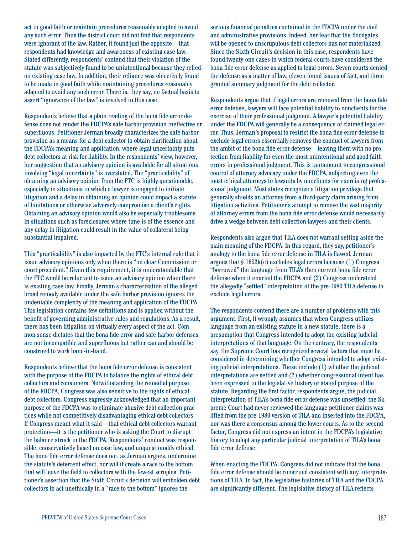act in good faith or maintain procedures reasonably adapted to avoid any such error. Thus the district court did not find that respondents were ignorant of the law. Rather, it found just the opposite—that respondents had knowledge and awareness of existing case law. Stated differently, respondents' contend that their violation of the statute was subjectively found to be unintentional because they relied on existing case law. In addition, their reliance was objectively found to be made in good faith while maintaining procedures reasonably adapted to avoid any such error. There is, they say, no factual basis to assert "ignorance of the law" is involved in this case.

Respondents believe that a plain reading of the bona fide error defense does not render the FDCPA's safe harbor provision ineffective or superfluous. Petitioner Jerman broadly characterizes the safe harbor provision as a means for a debt collector to obtain clarification about the FDCPA's meaning and application, where legal uncertainty puts debt collectors at risk for liability. In the respondents' view, however, her suggestion that an advisory opinion is available for all situations involving "legal uncertainty" is overstated. The "practicability" of obtaining an advisory opinion from the FTC is highly questionable, especially in situations in which a lawyer is engaged to initiate litigation and a delay in obtaining an opinion could impact a statute of limitations or otherwise adversely compromise a client's rights. Obtaining an advisory opinion would also be especially troublesome in situations such as foreclosures where time is of the essence and any delay in litigation could result in the value of collateral being substantial impaired.

This "practicability" is also impacted by the FTC's internal rule that it issue advisory opinions only when there is "no clear Commission or court precedent." Given this requirement, it is understandable that the FTC would be reluctant to issue an advisory opinion when there is existing case law. Finally, Jerman's characterization of the alleged broad remedy available under the safe harbor provision ignores the undeniable complexity of the meaning and application of the FDCPA. This legislation contains few definitions and is applied without the benefit of governing administrative rules and regulations. As a result, there has been litigation on virtually every aspect of the act. Common sense dictates that the bona fide error and safe harbor defenses are not incompatible and superfluous but rather can and should be construed to work hand-in-hand.

Respondents believe that the bona fide error defense is consistent with the purpose of the FDCPA to balance the rights of ethical debt collectors and consumers. Notwithstanding the remedial purpose of the FDCPA, Congress was also sensitive to the rights of ethical debt collectors. Congress expressly acknowledged that an important purpose of the FDCPA was to eliminate abusive debt collection practices while not competitively disadvantaging ethical debt collectors. If Congress meant what it said—that ethical debt collectors warrant protection—it is the petitioner who is asking the Court to disrupt the balance struck in the FDCPA. Respondents' conduct was responsible, conservatively based on case law, and unquestionably ethical. The bona fide error defense does not, as Jerman argues, undermine the statute's deterrent effect, nor will it create a race to the bottom that will leave the field to collectors with the fewest scruples. Petitioner's assertion that the Sixth Circuit's decision will embolden debt collectors to act unethically in a "race to the bottom" ignores the

serious financial penalties contained in the FDCPA under the civil and administrative provisions. Indeed, her fear that the floodgates will be opened to unscrupulous debt collectors has not materialized. Since the Sixth Circuit's decision in this case, respondents have found twenty-one cases in which federal courts have considered the bona fide error defense as applied to legal errors. Seven courts denied the defense as a matter of law, eleven found issues of fact, and three granted summary judgment for the debt collector.

Respondents argue that if legal errors are removed from the bona fide error defense, lawyers will face potential liability to nonclients for the exercise of their professional judgment. A lawyer's potential liability under the FDCPA will generally be a consequence of claimed legal error. Thus, Jerman's proposal to restrict the bona fide error defense to exclude legal errors essentially removes the conduct of lawyers from the ambit of the bona fide error defense—leaving them with no protection from liability for even the most unintentional and good faith errors in professional judgment. This is tantamount to congressional control of attorney advocacy under the FDCPA, subjecting even the most ethical attorneys to lawsuits by nonclients for exercising professional judgment. Most states recognize a litigation privilege that generally shields an attorney from a third-party claim arising from litigation activities. Petitioner's attempt to remove the vast majority of attorney errors from the bona fide error defense would necessarily drive a wedge between debt collection lawyers and their clients.

Respondents also argue that TILA does not warrant setting aside the plain meaning of the FDCPA. In this regard, they say, petitioner's analogy to the bona fide error defense in TILA is flawed. Jerman argues that  $\S 1692k(c)$  excludes legal errors because (1) Congress "borrowed" the language from TILA's then current bona fide error defense when it enacted the FDCPA and (2) Congress understood the allegedly "settled" interpretation of the pre-1980 TILA defense to exclude legal errors.

The respondents contend there are a number of problems with this argument. First, it wrongly assumes that when Congress utilizes language from an existing statute in a new statute, there is a presumption that Congress intended to adopt the existing judicial interpretations of that language. On the contrary, the respondents say, the Supreme Court has recognized several factors that must be considered in determining whether Congress intended to adopt existing judicial interpretations. These include (1) whether the judicial interpretations are settled and (2) whether congressional intent has been expressed in the legislative history or stated purpose of the statute. Regarding the first factor, respondents argue, the judicial interpretation of TILA's bona fide error defense was unsettled: the Supreme Court had never reviewed the language petitioner claims was lifted from the pre-1980 version of TILA and inserted into the FDCPA, nor was there a consensus among the lower courts. As to the second factor, Congress did not express an intent in the FDCPA's legislative history to adopt any particular judicial interpretation of TILA's bona fide error defense.

When enacting the FDCPA, Congress did not indicate that the bona fide error defense should be construed consistent with any interpretations of TILA. In fact, the legislative histories of TILA and the FDCPA are significantly different. The legislative history of TILA reflects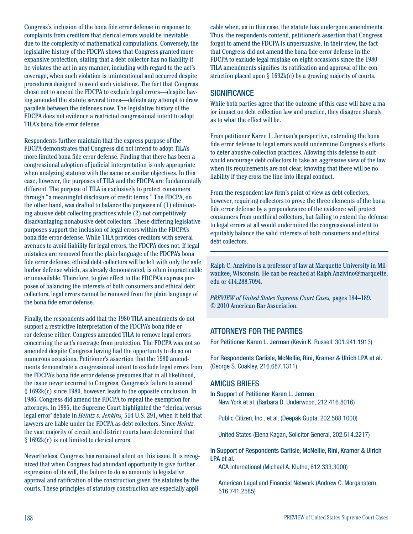Congress's inclusion of the bona fide error defense in response to complaints from creditors that clerical errors would be inevitable due to the complexity of mathematical computations. Conversely, the legislative history of the FDCPA shows that Congress granted more expansive protection, stating that a debt collector has no liability if he violates the act in any manner, including with regard to the act's coverage, when such violation is unintentional and occurred despite procedures designed to avoid such violations. The fact that Congress chose not to amend the FDCPA to exclude legal errors—despite having amended the statute several times—defeats any attempt to draw parallels between the defenses now. The legislative history of the FDCPA does not evidence a restricted congressional intent to adopt TILA's bona fide error defense.

Respondents further maintain that the express purpose of the FDCPA demonstrates that Congress did not intend to adopt TILA's more limited bona fide error defense. Finding that there has been a congressional adoption of judicial interpretation is only appropriate when analyzing statutes with the same or similar objectives. In this case, however, the purposes of TILA and the FDCPA are fundamentally different. The purpose of TILA is exclusively to protect consumers through "a meaningful disclosure of credit terms." The FDCPA, on the other hand, was drafted to balance the purposes of (1) eliminating abusive debt collecting practices while (2) not competitively disadvantaging nonabusive debt collectors. These differing legislative purposes support the inclusion of legal errors within the FDCPA's bona fide error defense. While TILA provides creditors with several avenues to avoid liability for legal errors, the FDCPA does not. If legal mistakes are removed from the plain language of the FDCPA's bona fide error defense, ethical debt collectors will be left with only the safe harbor defense which, as already demonstrated, is often impracticable or unavailable. Therefore, to give effect to the FDCPA's express purposes of balancing the interests of both consumers and ethical debt collectors, legal errors cannot be removed from the plain language of the bona fide error defense.

Finally, the respondents add that the 1980 TILA amendments do not support a restrictive interpretation of the FDCPA's bona fide error defense either. Congress amended TILA to remove legal errors concerning the act's coverage from protection. The FDCPA was not so amended despite Congress having had the opportunity to do so on numerous occasions. Petitioner's assertion that the 1980 amendments demonstrate a congressional intent to exclude legal errors from the FDCPA's bona fide error defense presumes that in all likelihood, the issue never occurred to Congress. Congress's failure to amend § 1692k(c) since 1980, however, leads to the opposite conclusion. In 1986, Congress did amend the FDCPA to repeal the exemption for attorneys. In 1995, the Supreme Court highlighted the "clerical versus legal error' debate in *Heintz v. Jenkins,* 514 U.S. 291, when it held that lawyers are liable under the FDCPA as debt collectors. Since *Heintz,*  the vast majority of circuit and district courts have determined that § 1692k(c) is not limited to clerical errors.

Nevertheless, Congress has remained silent on this issue. It is recognized that when Congress had abundant opportunity to give further expression of its will, the failure to do so amounts to legislative approval and ratification of the construction given the statutes by the courts. These principles of statutory construction are especially appli-

cable when, as in this case, the statute has undergone amendments. Thus, the respondents contend, petitioner's assertion that Congress forgot to amend the FDCPA is unpersuasive. In their view, the fact that Congress did not amend the bona fide error defense in the FDCPA to exclude legal mistake on eight occasions since the 1980 TILA amendments signifies its ratification and approval of the construction placed upon  $\S 1692k(c)$  by a growing majority of courts.

#### **SIGNIFICANCE**

While both parties agree that the outcome of this case will have a major impact on debt collection law and practice, they disagree sharply as to what the effect will be.

From petitioner Karen L. Jerman's perspective, extending the bona fide error defense to legal errors would undermine Congress's efforts to deter abusive collection practices. Allowing this defense to suit would encourage debt collectors to take an aggressive view of the law when its requirements are not clear, knowing that there will be no liability if they cross the line into illegal conduct.

From the respondent law firm's point of view as debt collectors, however, requiring collectors to prove the three elements of the bona fide error defense by a preponderance of the evidence will protect consumers from unethical collectors, but failing to extend the defense to legal errors at all would undermined the congressional intent to equitably balance the valid interests of both consumers and ethical debt collectors.

Ralph C. Anzivino is a professor of law at Marquette University in Milwaukee, Wisconsin. He can be reached at Ralph.Anzivino@marquette. edu or 414.288.7094.

*PREVIEW of United States Supreme Court Cases,* pages 184–189. © 2010 American Bar Association.

#### ATTORNEYS FOR THE PARTIES

For Petitioner Karen L. Jerman (Kevin K. Russell, 301.941.1913)

For Respondents Carlisle, McNellie, Rini, Kramer & Ulrich LPA et al. (George S. Coakley, 216.687.1311)

#### AMICUS BRIEFS

In Support of Petitioner Karen L. Jerman New York et al. (Barbara D. Underwood, 212.416.8016)

Public Citizen, Inc., et al. (Deepak Gupta, 202.588.1000)

United States (Elena Kagan, Solicitor General, 202.514.2217)

In Support of Respondents Carlisle, McNellie, Rini, Kramer & Ulrich LPA et al.

ACA International (Michael A. Klutho, 612.333.3000)

American Legal and Financial Network (Andrew C. Morganstern, 516.741.2585)